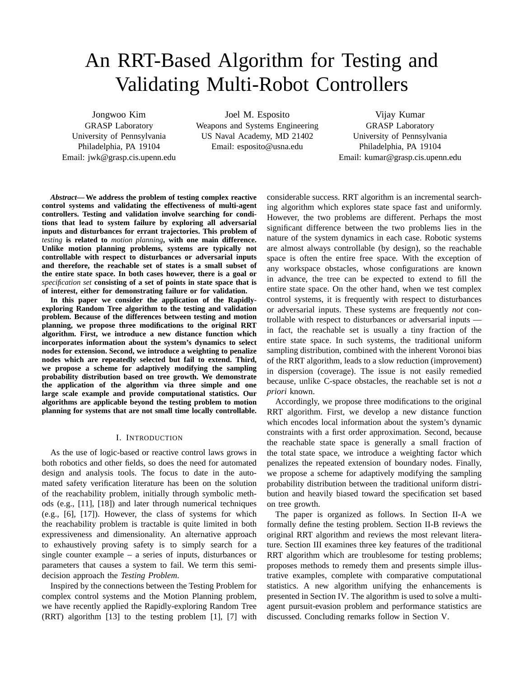# An RRT-Based Algorithm for Testing and Validating Multi-Robot Controllers

Jongwoo Kim

GRASP Laboratory University of Pennsylvania Philadelphia, PA 19104 Email: jwk@grasp.cis.upenn.edu

Joel M. Esposito Weapons and Systems Engineering US Naval Academy, MD 21402 Email: esposito@usna.edu

Vijay Kumar GRASP Laboratory University of Pennsylvania Philadelphia, PA 19104 Email: kumar@grasp.cis.upenn.edu

*Abstract***— We address the problem of testing complex reactive control systems and validating the effectiveness of multi-agent controllers. Testing and validation involve searching for conditions that lead to system failure by exploring all adversarial inputs and disturbances for errant trajectories. This problem of** *testing* **is related to** *motion planning***, with one main difference. Unlike motion planning problems, systems are typically not controllable with respect to disturbances or adversarial inputs and therefore, the reachable set of states is a small subset of the entire state space. In both cases however, there is a goal or** *specification set* **consisting of a set of points in state space that is of interest, either for demonstrating failure or for validation.**

**In this paper we consider the application of the Rapidlyexploring Random Tree algorithm to the testing and validation problem. Because of the differences between testing and motion planning, we propose three modifications to the original RRT algorithm. First, we introduce a new distance function which incorporates information about the system's dynamics to select nodes for extension. Second, we introduce a weighting to penalize nodes which are repeatedly selected but fail to extend. Third, we propose a scheme for adaptively modifying the sampling probability distribution based on tree growth. We demonstrate the application of the algorithm via three simple and one large scale example and provide computational statistics. Our algorithms are applicable beyond the testing problem to motion planning for systems that are not small time locally controllable.**

### I. INTRODUCTION

As the use of logic-based or reactive control laws grows in both robotics and other fields, so does the need for automated design and analysis tools. The focus to date in the automated safety verification literature has been on the solution of the reachability problem, initially through symbolic methods (e.g., [11], [18]) and later through numerical techniques (e.g., [6], [17]). However, the class of systems for which the reachability problem is tractable is quite limited in both expressiveness and dimensionality. An alternative approach to exhaustively proving safety is to simply search for a single counter example – a series of inputs, disturbances or parameters that causes a system to fail. We term this semidecision approach the *Testing Problem*.

Inspired by the connections between the Testing Problem for complex control systems and the Motion Planning problem, we have recently applied the Rapidly-exploring Random Tree (RRT) algorithm [13] to the testing problem [1], [7] with

considerable success. RRT algorithm is an incremental searching algorithm which explores state space fast and uniformly. However, the two problems are different. Perhaps the most significant difference between the two problems lies in the nature of the system dynamics in each case. Robotic systems are almost always controllable (by design), so the reachable space is often the entire free space. With the exception of any workspace obstacles, whose configurations are known in advance, the tree can be expected to extend to fill the entire state space. On the other hand, when we test complex control systems, it is frequently with respect to disturbances or adversarial inputs. These systems are frequently *not* controllable with respect to disturbances or adversarial inputs in fact, the reachable set is usually a tiny fraction of the entire state space. In such systems, the traditional uniform sampling distribution, combined with the inherent Voronoi bias of the RRT algorithm, leads to a slow reduction (improvement) in dispersion (coverage). The issue is not easily remedied because, unlike C-space obstacles, the reachable set is not *a priori* known.

Accordingly, we propose three modifications to the original RRT algorithm. First, we develop a new distance function which encodes local information about the system's dynamic constraints with a first order approximation. Second, because the reachable state space is generally a small fraction of the total state space, we introduce a weighting factor which penalizes the repeated extension of boundary nodes. Finally, we propose a scheme for adaptively modifying the sampling probability distribution between the traditional uniform distribution and heavily biased toward the specification set based on tree growth.

The paper is organized as follows. In Section II-A we formally define the testing problem. Section II-B reviews the original RRT algorithm and reviews the most relevant literature. Section III examines three key features of the traditional RRT algorithm which are troublesome for testing problems; proposes methods to remedy them and presents simple illustrative examples, complete with comparative computational statistics. A new algorithm unifying the enhancements is presented in Section IV. The algorithm is used to solve a multiagent pursuit-evasion problem and performance statistics are discussed. Concluding remarks follow in Section V.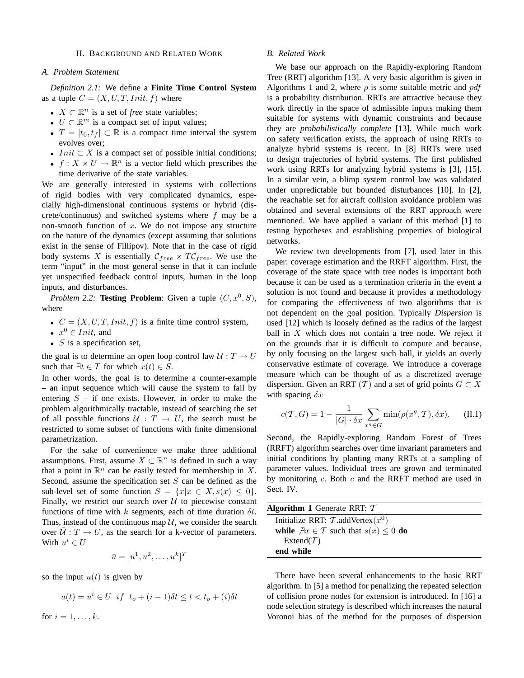#### II. BACKGROUND AND RELATED WORK

#### *A. Problem Statement*

*Definition 2.1:* We define a **Finite Time Control System** as a tuple  $C = (X, U, T,Init, f)$  where

- $X \subset \mathbb{R}^n$  is a set of *free* state variables;
- $U \subset \mathbb{R}^m$  is a compact set of input values;
- $T = [t_0, t_f] \subset \mathbb{R}$  is a compact time interval the system evolves over;
- Init  $\subset X$  is a compact set of possible initial conditions;
- $f: X \times U \to \mathbb{R}^n$  is a vector field which prescribes the time derivative of the state variables.

We are generally interested in systems with collections of rigid bodies with very complicated dynamics, especially high-dimensional continuous systems or hybrid (discrete/continuous) and switched systems where  $f$  may be a non-smooth function of  $x$ . We do not impose any structure on the nature of the dynamics (except assuming that solutions exist in the sense of Fillipov). Note that in the case of rigid body systems X is essentially  $C_{free} \times T C_{free}$ . We use the term "input" in the most general sense in that it can include yet unspecified feedback control inputs, human in the loop inputs, and disturbances.

*Problem 2.2:* **Testing Problem**: Given a tuple  $(C, x^0, S)$ , where

- $C = (X, U, T,Init, f)$  is a finite time control system,
- $x^0 \in \overline{Init}$ , and
- $S$  is a specification set,

the goal is to determine an open loop control law  $U: T \to U$ such that  $\exists t \in T$  for which  $x(t) \in S$ .

In other words, the goal is to determine a counter-example – an input sequence which will cause the system to fail by entering  $S - if$  one exists. However, in order to make the problem algorithmically tractable, instead of searching the set of all possible functions  $U : T \rightarrow U$ , the search must be restricted to some subset of functions with finite dimensional parametrization.

For the sake of convenience we make three additional assumptions. First, assume  $X \subset \mathbb{R}^n$  is defined in such a way that a point in  $\mathbb{R}^n$  can be easily tested for membership in X. Second, assume the specification set  $S$  can be defined as the sub-level set of some function  $S = \{x | x \in X, s(x) \leq 0\}.$ Finally, we restrict our search over  $U$  to piecewise constant functions of time with k segments, each of time duration  $\delta t$ . Thus, instead of the continuous map  $U$ , we consider the search over  $\overline{U}: T \to U$ , as the search for a k-vector of parameters. With  $u^i \in U$ 

$$
\bar{u} = [u^1, u^2, \dots, u^k]^T
$$

so the input  $u(t)$  is given by

$$
u(t) = u^i \in U \text{ if } t_o + (i - 1)\delta t \le t < t_o + (i)\delta t
$$

for  $i = 1, \ldots, k$ .

#### *B. Related Work*

We base our approach on the Rapidly-exploring Random Tree (RRT) algorithm [13]. A very basic algorithm is given in Algorithms 1 and 2, where  $\rho$  is some suitable metric and pdf is a probability distribution. RRTs are attractive because they work directly in the space of admissible inputs making them suitable for systems with dynamic constraints and because they are *probabilistically complete* [13]. While much work on safety verification exists, the approach of using RRTs to analyze hybrid systems is recent. In [8] RRTs were used to design trajectories of hybrid systems. The first published work using RRTs for analyzing hybrid systems is [3], [15]. In a similar vein, a blimp system control law was validated under unpredictable but bounded disturbances [10]. In [2], the reachable set for aircraft collision avoidance problem was obtained and several extensions of the RRT approach were mentioned. We have applied a variant of this method [1] to testing hypotheses and establishing properties of biological networks.

We review two developments from [7], used later in this paper: coverage estimation and the RRFT algorithm. First, the coverage of the state space with tree nodes is important both because it can be used as a termination criteria in the event a solution is not found and because it provides a methodology for comparing the effectiveness of two algorithms that is not dependent on the goal position. Typically *Dispersion* is used [12] which is loosely defined as the radius of the largest ball in  $X$  which does not contain a tree node. We reject it on the grounds that it is difficult to compute and because, by only focusing on the largest such ball, it yields an overly conservative estimate of coverage. We introduce a coverage measure which can be thought of as a discretized average dispersion. Given an RRT (T) and a set of grid points  $G \subset X$ with spacing  $\delta x$ 

$$
c(\mathcal{T}, G) = 1 - \frac{1}{|G| \cdot \delta x} \sum_{x^g \in G} \min(\rho(x^g, \mathcal{T}), \delta x). \quad \text{(II.1)}
$$

Second, the Rapidly-exploring Random Forest of Trees (RRFT) algorithm searches over time invariant parameters and initial conditions by planting many RRTs at a sampling of parameter values. Individual trees are grown and terminated by monitoring  $c$ . Both  $c$  and the RRFT method are used in Sect. IV.

| <b>Algorithm 1</b> Generate RRT: $T$                         |
|--------------------------------------------------------------|
| Initialize RRT: $\mathcal{T}$ .addVertex $(x^0)$             |
| while $\exists x \in \mathcal{T}$ such that $s(x) \leq 0$ do |
| Extend $(T)$                                                 |
| end while                                                    |

There have been several enhancements to the basic RRT algorithm. In [5] a method for penalizing the repeated selection of collision prone nodes for extension is introduced. In [16] a node selection strategy is described which increases the natural Voronoi bias of the method for the purposes of dispersion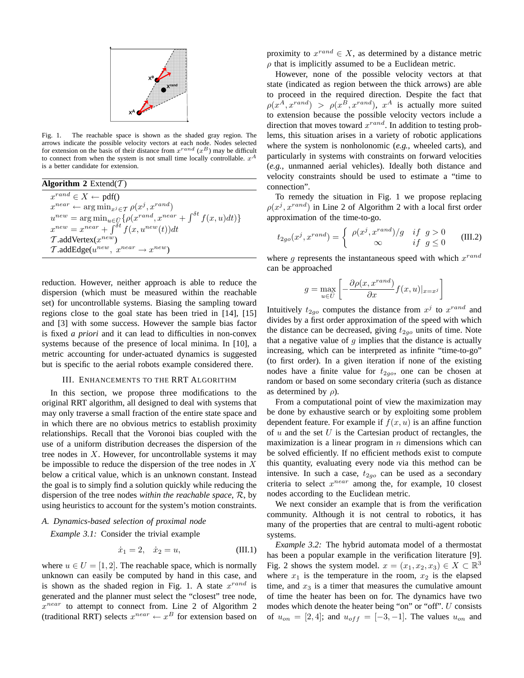

Fig. 1. The reachable space is shown as the shaded gray region. The arrows indicate the possible velocity vectors at each node. Nodes selected for extension on the basis of their distance from  $x^{rand}(x^B)$  may be difficult to connect from when the system is not small time locally controllable.  $x^A$ is a better candidate for extension.

| Algorithm 2 Extend $(\mathcal{T})$                                                                                                                                                         |  |  |  |  |
|--------------------------------------------------------------------------------------------------------------------------------------------------------------------------------------------|--|--|--|--|
| $x^{rand} \in X \leftarrow pdf()$                                                                                                                                                          |  |  |  |  |
| $x^{near} \leftarrow \arg\min_{x^j \in \mathcal{T}} \rho(x^j, x^{rand})$                                                                                                                   |  |  |  |  |
|                                                                                                                                                                                            |  |  |  |  |
| $\begin{array}{l} u^{new} = \arg \min_{u \in \bar{U}} \{ \rho(x^{rand}, x^{near} + \int^{\delta t} f(x, u) dt) \} \\ x^{new} = x^{near} + \int^{\delta t} f(x, u^{new}(t)) dt \end{array}$ |  |  |  |  |
| $\mathcal{T}$ .addVertex $(x^{new})$                                                                                                                                                       |  |  |  |  |
| $\mathcal{T}$ .addEdge( $u^{new}$ , $x^{near} \rightarrow x^{new}$ )                                                                                                                       |  |  |  |  |

reduction. However, neither approach is able to reduce the dispersion (which must be measured within the reachable set) for uncontrollable systems. Biasing the sampling toward regions close to the goal state has been tried in [14], [15] and [3] with some success. However the sample bias factor is fixed *a priori* and it can lead to difficulties in non-convex systems because of the presence of local minima. In [10], a metric accounting for under-actuated dynamics is suggested but is specific to the aerial robots example considered there.

#### III. ENHANCEMENTS TO THE RRT ALGORITHM

In this section, we propose three modifications to the original RRT algorithm, all designed to deal with systems that may only traverse a small fraction of the entire state space and in which there are no obvious metrics to establish proximity relationships. Recall that the Voronoi bias coupled with the use of a uniform distribution decreases the dispersion of the tree nodes in  $X$ . However, for uncontrollable systems it may be impossible to reduce the dispersion of the tree nodes in  $X$ below a critical value, which is an unknown constant. Instead the goal is to simply find a solution quickly while reducing the dispersion of the tree nodes *within the reachable space*, R, by using heuristics to account for the system's motion constraints.

# *A. Dynamics-based selection of proximal node*

*Example 3.1:* Consider the trivial example

$$
\dot{x}_1 = 2, \quad \dot{x}_2 = u,\tag{III.1}
$$

where  $u \in U = [1, 2]$ . The reachable space, which is normally unknown can easily be computed by hand in this case, and is shown as the shaded region in Fig. 1. A state  $x^{rand}$  is generated and the planner must select the "closest" tree node,  $x^{near}$  to attempt to connect from. Line 2 of Algorithm 2 (traditional RRT) selects  $x^{near} \leftarrow x^B$  for extension based on

proximity to  $x^{rand} \in X$ , as determined by a distance metric  $\rho$  that is implicitly assumed to be a Euclidean metric.

However, none of the possible velocity vectors at that state (indicated as region between the thick arrows) are able to proceed in the required direction. Despite the fact that  $\rho(x^A, x^{rand}) > \rho(x^B, x^{rand})$ ,  $x^A$  is actually more suited to extension because the possible velocity vectors include a direction that moves toward  $x^{rand}$ . In addition to testing problems, this situation arises in a variety of robotic applications where the system is nonholonomic (*e.g.*, wheeled carts), and particularly in systems with constraints on forward velocities (*e.g.*, unmanned aerial vehicles). Ideally both distance and velocity constraints should be used to estimate a "time to connection".

To remedy the situation in Fig. 1 we propose replacing  $\rho(x^j, x^{rand})$  in Line 2 of Algorithm 2 with a local first order approximation of the time-to-go.

$$
t_{2go}(x^j, x^{rand}) = \begin{cases} \rho(x^j, x^{rand})/g & \text{if } g > 0\\ \infty & \text{if } g \le 0 \end{cases}
$$
 (III.2)

where g represents the instantaneous speed with which  $x^{rand}$ can be approached

$$
g = \max_{u \in \bar{U}} \left[ -\frac{\partial \rho(x, x^{rand})}{\partial x} f(x, u)|_{x = x^{j}} \right]
$$

Intuitively  $t_{2g}$  computes the distance from  $x^j$  to  $x^{rand}$  and divides by a first order approximation of the speed with which the distance can be decreased, giving  $t_{2go}$  units of time. Note that a negative value of  $q$  implies that the distance is actually increasing, which can be interpreted as infinite "time-to-go" (to first order). In a given iteration if none of the existing nodes have a finite value for  $t_{2go}$ , one can be chosen at random or based on some secondary criteria (such as distance as determined by  $\rho$ ).

From a computational point of view the maximization may be done by exhaustive search or by exploiting some problem dependent feature. For example if  $f(x, u)$  is an affine function of  $u$  and the set  $U$  is the Cartesian product of rectangles, the maximization is a linear program in  $n$  dimensions which can be solved efficiently. If no efficient methods exist to compute this quantity, evaluating every node via this method can be intensive. In such a case,  $t_{2g0}$  can be used as a secondary criteria to select  $x^{near}$  among the, for example, 10 closest nodes according to the Euclidean metric.

We next consider an example that is from the verification community. Although it is not central to robotics, it has many of the properties that are central to multi-agent robotic systems.

*Example 3.2:* The hybrid automata model of a thermostat has been a popular example in the verification literature [9]. Fig. 2 shows the system model.  $x = (x_1, x_2, x_3) \in X \subset \mathbb{R}^3$ where  $x_1$  is the temperature in the room,  $x_2$  is the elapsed time, and  $x_3$  is a timer that measures the cumulative amount of time the heater has been on for. The dynamics have two modes which denote the heater being "on" or "off". U consists of  $u_{on} = [2, 4]$ ; and  $u_{off} = [-3, -1]$ . The values  $u_{on}$  and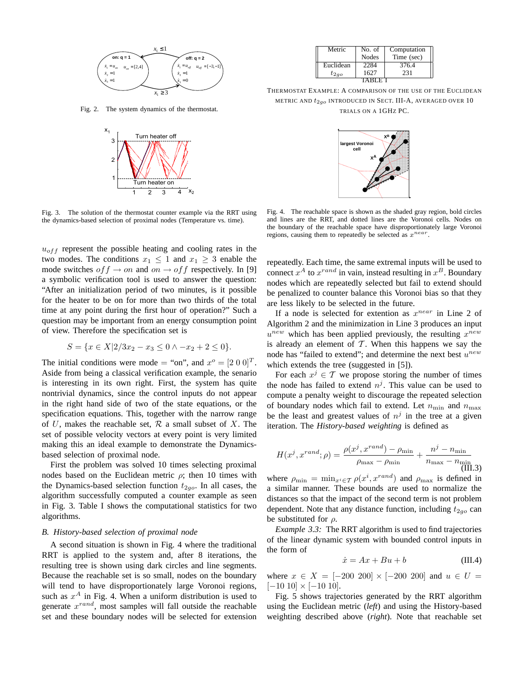

Fig. 2. The system dynamics of the thermostat.



Fig. 3. The solution of the thermostat counter example via the RRT using the dynamics-based selection of proximal nodes (Temperature vs. time).

 $u_{off}$  represent the possible heating and cooling rates in the two modes. The conditions  $x_1 \leq 1$  and  $x_1 \geq 3$  enable the mode switches  $of f \rightarrow on$  and  $on \rightarrow of f$  respectively. In [9] a symbolic verification tool is used to answer the question: "After an initialization period of two minutes, is it possible for the heater to be on for more than two thirds of the total time at any point during the first hour of operation?" Such a question may be important from an energy consumption point of view. Therefore the specification set is

$$
S = \{ x \in X | 2/3x_2 - x_3 \le 0 \land -x_2 + 2 \le 0 \}.
$$

The initial conditions were mode = "on", and  $x^{\circ} = [2 \ 0 \ 0]^T$ . Aside from being a classical verification example, the senario is interesting in its own right. First, the system has quite nontrivial dynamics, since the control inputs do not appear in the right hand side of two of the state equations, or the specification equations. This, together with the narrow range of U, makes the reachable set,  $\mathcal R$  a small subset of X. The set of possible velocity vectors at every point is very limited making this an ideal example to demonstrate the Dynamicsbased selection of proximal node.

First the problem was solved 10 times selecting proximal nodes based on the Euclidean metric  $\rho$ ; then 10 times with the Dynamics-based selection function  $t_{2\alpha}$ . In all cases, the algorithm successfully computed a counter example as seen in Fig. 3. Table I shows the computational statistics for two algorithms.

### *B. History-based selection of proximal node*

A second situation is shown in Fig. 4 where the traditional RRT is applied to the system and, after 8 iterations, the resulting tree is shown using dark circles and line segments. Because the reachable set is so small, nodes on the boundary will tend to have disproportionately large Voronoi regions, such as  $x^A$  in Fig. 4. When a uniform distribution is used to generate  $x^{rand}$ , most samples will fall outside the reachable set and these boundary nodes will be selected for extension

| Metric    | No. of       | Computation |  |  |  |
|-----------|--------------|-------------|--|--|--|
|           | <b>Nodes</b> | Time (sec)  |  |  |  |
| Euclidean | 2284         | 376.4       |  |  |  |
| $t_{2ao}$ | 1627         | 231         |  |  |  |
| RI E I    |              |             |  |  |  |

THERMOSTAT EXAMPLE: A COMPARISON OF THE USE OF THE EUCLIDEAN METRIC AND  $t_{2g}$  INTRODUCED IN SECT. III-A, AVERAGED OVER 10 TRIALS ON A 1GHZ PC.



Fig. 4. The reachable space is shown as the shaded gray region, bold circles and lines are the RRT, and dotted lines are the Voronoi cells. Nodes on the boundary of the reachable space have disproportionately large Voronoi regions, causing them to repeatedly be selected as  $x^{near}$ .

repeatedly. Each time, the same extremal inputs will be used to connect  $x^A$  to  $x^{rand}$  in vain, instead resulting in  $x^B$ . Boundary nodes which are repeatedly selected but fail to extend should be penalized to counter balance this Voronoi bias so that they are less likely to be selected in the future.

If a node is selected for extention as  $x^{near}$  in Line 2 of Algorithm 2 and the minimization in Line 3 produces an input  $u^{new}$  which has been applied previously, the resulting  $x^{new}$ is already an element of  $T$ . When this happens we say the node has "failed to extend"; and determine the next best  $u^{new}$ which extends the tree (suggested in [5]).

For each  $x^j \in \mathcal{T}$  we propose storing the number of times the node has failed to extend  $n^j$ . This value can be used to compute a penalty weight to discourage the repeated selection of boundary nodes which fail to extend. Let  $n_{\min}$  and  $n_{\max}$ be the least and greatest values of  $n^j$  in the tree at a given iteration. The *History-based weighting* is defined as

$$
H(x^j, x^{rand}; \rho) = \frac{\rho(x^j, x^{rand}) - \rho_{\min}}{\rho_{\max} - \rho_{\min}} + \frac{n^j - n_{\min}}{n_{\max} - n_{\min}} \tag{III.3}
$$

where  $\rho_{\min} = \min_{x^i \in \mathcal{T}} \rho(x^i, x^{rand})$  and  $\rho_{\max}$  is defined in a similar manner. These bounds are used to normalize the distances so that the impact of the second term is not problem dependent. Note that any distance function, including  $t_{2g}$  can be substituted for  $\rho$ .

*Example 3.3:* The RRT algorithm is used to find trajectories of the linear dynamic system with bounded control inputs in the form of

$$
\dot{x} = Ax + Bu + b \tag{III.4}
$$

where  $x \in X = [-200, 200] \times [-200, 200]$  and  $u \in U =$  $[-10\ 10] \times [-10\ 10]$ .

Fig. 5 shows trajectories generated by the RRT algorithm using the Euclidean metric (*left*) and using the History-based weighting described above (*right*). Note that reachable set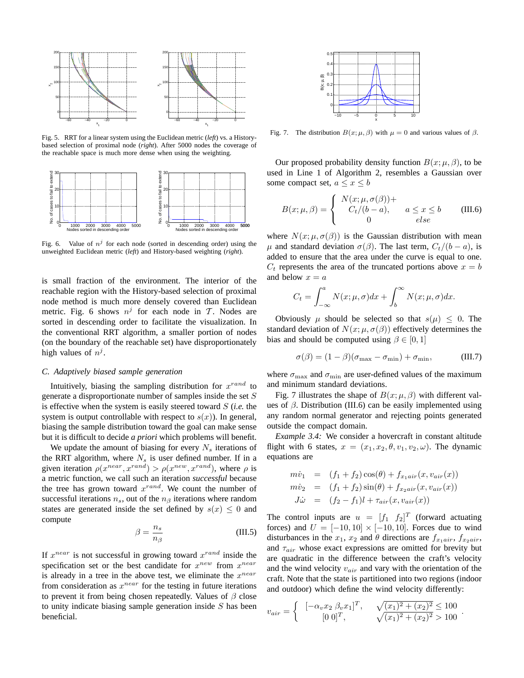

Fig. 5. RRT for a linear system using the Euclidean metric (*left*) vs. a Historybased selection of proximal node (*right*). After 5000 nodes the coverage of the reachable space is much more dense when using the weighting.



Fig. 6. Value of  $n^j$  for each node (sorted in descending order) using the unweighted Euclidean metric (*left*) and History-based weighting (*right*).

is small fraction of the environment. The interior of the reachable region with the History-based selection of proximal node method is much more densely covered than Euclidean metric. Fig. 6 shows  $n^j$  for each node in T. Nodes are sorted in descending order to facilitate the visualization. In the conventional RRT algorithm, a smaller portion of nodes (on the boundary of the reachable set) have disproportionately high values of  $n^j$ .

#### *C. Adaptively biased sample generation*

Intuitively, biasing the sampling distribution for  $x^{rand}$  to generate a disproportionate number of samples inside the set S is effective when the system is easily steered toward S (*i.e.* the system is output controllable with respect to  $s(x)$ ). In general, biasing the sample distribution toward the goal can make sense but it is difficult to decide *a priori* which problems will benefit.

We update the amount of biasing for every  $N_s$  iterations of the RRT algorithm, where  $N_s$  is user defined number. If in a given iteration  $\rho(x^{near}, x^{rand}) > \rho(x^{new}, x^{rand})$ , where  $\rho$  is a metric function, we call such an iteration *successful* because the tree has grown toward  $x^{rand}$ . We count the number of successful iterations  $n_s$ , out of the  $n_\beta$  iterations where random states are generated inside the set defined by  $s(x) \leq 0$  and compute

$$
\beta = \frac{n_s}{n_\beta} \tag{III.5}
$$

If  $x^{near}$  is not successful in growing toward  $x^{rand}$  inside the specification set or the best candidate for  $x^{new}$  from  $x^{near}$ is already in a tree in the above test, we eliminate the  $x^{near}$ from consideration as  $x^{near}$  for the testing in future iterations to prevent it from being chosen repeatedly. Values of  $\beta$  close to unity indicate biasing sample generation inside  $S$  has been beneficial.



Fig. 7. The distribution  $B(x; \mu, \beta)$  with  $\mu = 0$  and various values of  $\beta$ .

Our proposed probability density function  $B(x; \mu, \beta)$ , to be used in Line 1 of Algorithm 2, resembles a Gaussian over some compact set,  $a \leq x \leq b$ 

$$
B(x; \mu, \beta) = \begin{cases} N(x; \mu, \sigma(\beta)) + \\ C_t/(b - a), & a \le x \le b \\ 0 & else \end{cases}
$$
 (III.6)

where  $N(x; \mu, \sigma(\beta))$  is the Gaussian distribution with mean  $\mu$  and standard deviation  $\sigma(\beta)$ . The last term,  $C_t/(b-a)$ , is added to ensure that the area under the curve is equal to one.  $C_t$  represents the area of the truncated portions above  $x = b$ and below  $x = a$ 

$$
C_t = \int_{-\infty}^a N(x; \mu, \sigma) dx + \int_b^{\infty} N(x; \mu, \sigma) dx.
$$

Obviously  $\mu$  should be selected so that  $s(\mu) \leq 0$ . The standard deviation of  $N(x; \mu, \sigma(\beta))$  effectively determines the bias and should be computed using  $\beta \in [0, 1]$ 

$$
\sigma(\beta) = (1 - \beta)(\sigma_{\text{max}} - \sigma_{\text{min}}) + \sigma_{\text{min}}, \tag{III.7}
$$

where  $\sigma_{\text{max}}$  and  $\sigma_{\text{min}}$  are user-defined values of the maximum and minimum standard deviations.

Fig. 7 illustrates the shape of  $B(x; \mu, \beta)$  with different values of  $\beta$ . Distribution (III.6) can be easily implemented using any random normal generator and rejecting points generated outside the compact domain.

*Example 3.4:* We consider a hovercraft in constant altitude flight with 6 states,  $x = (x_1, x_2, \theta, v_1, v_2, \omega)$ . The dynamic equations are

$$
m\dot{v}_1 = (f_1 + f_2)\cos(\theta) + f_{x_1air}(x, v_{air}(x))
$$
  
\n
$$
m\dot{v}_2 = (f_1 + f_2)\sin(\theta) + f_{x_2air}(x, v_{air}(x))
$$
  
\n
$$
J\dot{\omega} = (f_2 - f_1)l + \tau_{air}(x, v_{air}(x))
$$

The control inputs are  $u = [f_1 \quad f_2]^T$  (forward actuating forces) and  $U = [-10, 10] \times [-10, 10]$ . Forces due to wind disturbances in the  $x_1$ ,  $x_2$  and  $\theta$  directions are  $f_{x_1air}$ ,  $f_{x_2air}$ , and  $\tau_{air}$  whose exact expressions are omitted for brevity but are quadratic in the difference between the craft's velocity and the wind velocity  $v_{air}$  and vary with the orientation of the craft. Note that the state is partitioned into two regions (indoor and outdoor) which define the wind velocity differently:

$$
v_{air} = \begin{cases} [-\alpha_v x_2 \ \beta_v x_1]^T, & \sqrt{(x_1)^2 + (x_2)^2} \le 100 \\ [0 \ 0]^T, & \sqrt{(x_1)^2 + (x_2)^2} > 100 \end{cases}.
$$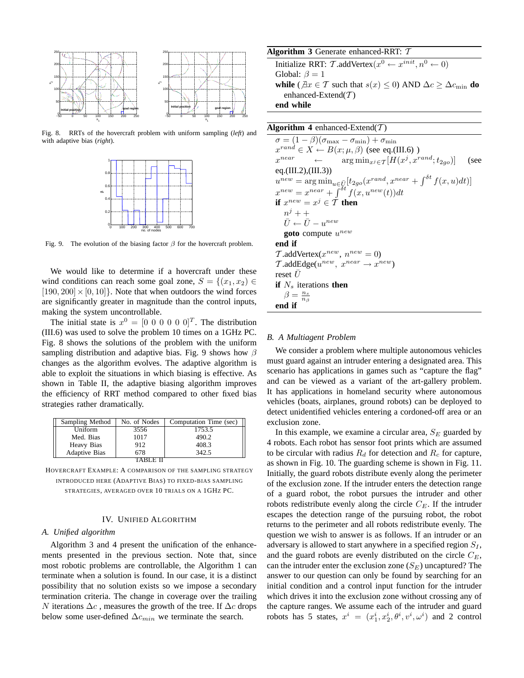

Fig. 8. RRTs of the hovercraft problem with uniform sampling (*left*) and with adaptive bias (*right*).



Fig. 9. The evolution of the biasing factor  $\beta$  for the hovercraft problem.

We would like to determine if a hovercraft under these wind conditions can reach some goal zone,  $S = \{(x_1, x_2) \in$  $[190, 200] \times [0, 10]$ . Note that when outdoors the wind forces are significantly greater in magnitude than the control inputs, making the system uncontrollable.

The initial state is  $x^0 = [0 \ 0 \ 0 \ 0 \ 0 \ 0]^T$ . The distribution (III.6) was used to solve the problem 10 times on a 1GHz PC. Fig. 8 shows the solutions of the problem with the uniform sampling distribution and adaptive bias. Fig. 9 shows how  $\beta$ changes as the algorithm evolves. The adaptive algorithm is able to exploit the situations in which biasing is effective. As shown in Table II, the adaptive biasing algorithm improves the efficiency of RRT method compared to other fixed bias strategies rather dramatically.

| Sampling Method      | No. of Nodes | Computation Time (sec) |  |  |  |
|----------------------|--------------|------------------------|--|--|--|
| Uniform              | 3556         | 1753.5                 |  |  |  |
| Med. Bias            | 1017         | 490.2                  |  |  |  |
| Heavy Bias           | 912          | 408.3                  |  |  |  |
| <b>Adaptive Bias</b> | 678          | 342.5                  |  |  |  |
|                      |              |                        |  |  |  |

HOVERCRAFT EXAMPLE: A COMPARISON OF THE SAMPLING STRATEGY INTRODUCED HERE (ADAPTIVE BIAS) TO FIXED-BIAS SAMPLING STRATEGIES, AVERAGED OVER 10 TRIALS ON A 1GHZ PC.

#### IV. UNIFIED ALGORITHM

#### *A. Unified algorithm*

Algorithm 3 and 4 present the unification of the enhancements presented in the previous section. Note that, since most robotic problems are controllable, the Algorithm 1 can terminate when a solution is found. In our case, it is a distinct possibility that no solution exists so we impose a secondary termination criteria. The change in coverage over the trailing N iterations  $\Delta c$ , measures the growth of the tree. If  $\Delta c$  drops below some user-defined  $\Delta c_{min}$  we terminate the search.

## **Algorithm 3** Generate enhanced-RRT: T

Initialize RRT: T.addVertex $(x^0 \leftarrow x^{init}, n^0 \leftarrow 0)$ Global:  $\beta = 1$ **while** ( $\exists x \in \mathcal{T}$  such that  $s(x) \leq 0$ ) AND  $\Delta c \geq \Delta c_{\min}$  **do** enhanced-Extend $(T)$ **end while**

## **Algorithm 4** enhanced-Extend( $T$ )

 $\sigma = (1 - \beta)(\sigma_{\text{max}} - \sigma_{\text{min}}) + \sigma_{\text{min}}$  $x^{rand} \in X \leftarrow B(x; \mu, \beta)$  (see eq.(III.6))  $x^{near}$  $\longleftarrow \arg \min_{x^j \in \mathcal{T}} [H(x^j, x^{rand}; t_{2go})]$  (see eq.(III.2),(III.3))  $u^{new} = \arg \min_{u \in \bar{U}} [t_{2go}(x^{rand}, x^{near} + \int^{\delta t} f(x, u) dt)]$  $x^{new} = x^{near} + \int^{\delta t} f(x, u^{new}(t)) dt$ **if**  $x^{new} = x^j \in T$  **then**  $n^j++$  $\bar{U} \leftarrow \bar{U} - u^{new}$ **goto** compute  $u^{new}$ **end if**  $\mathcal{T}$ .addVertex( $x^{new}$ ,  $n^{new} = 0$ )  $\mathcal{T}$ .addEdge( $u^{new}$ ,  $x^{near} \rightarrow x^{new}$ ) reset  $\bar{U}$ **if**  $N_s$  iterations **then**  $\beta = \frac{n_s}{n_\beta}$ **end if**

## *B. A Multiagent Problem*

We consider a problem where multiple autonomous vehicles must guard against an intruder entering a designated area. This scenario has applications in games such as "capture the flag" and can be viewed as a variant of the art-gallery problem. It has applications in homeland security where autonomous vehicles (boats, airplanes, ground robots) can be deployed to detect unidentified vehicles entering a cordoned-off area or an exclusion zone.

In this example, we examine a circular area,  $S_E$  guarded by 4 robots. Each robot has sensor foot prints which are assumed to be circular with radius  $R_d$  for detection and  $R_c$  for capture, as shown in Fig. 10. The guarding scheme is shown in Fig. 11. Initially, the guard robots distribute evenly along the perimeter of the exclusion zone. If the intruder enters the detection range of a guard robot, the robot pursues the intruder and other robots redistribute evenly along the circle  $C_E$ . If the intruder escapes the detection range of the pursuing robot, the robot returns to the perimeter and all robots redistribute evenly. The question we wish to answer is as follows. If an intruder or an adversary is allowed to start anywhere in a specified region  $S_I$ , and the guard robots are evenly distributed on the circle  $C_E$ , can the intruder enter the exclusion zone  $(S_E)$  uncaptured? The answer to our question can only be found by searching for an initial condition and a control input function for the intruder which drives it into the exclusion zone without crossing any of the capture ranges. We assume each of the intruder and guard robots has 5 states,  $x^i = (x_1^i, x_2^i, \theta^i, v^i, \omega^i)$  and 2 control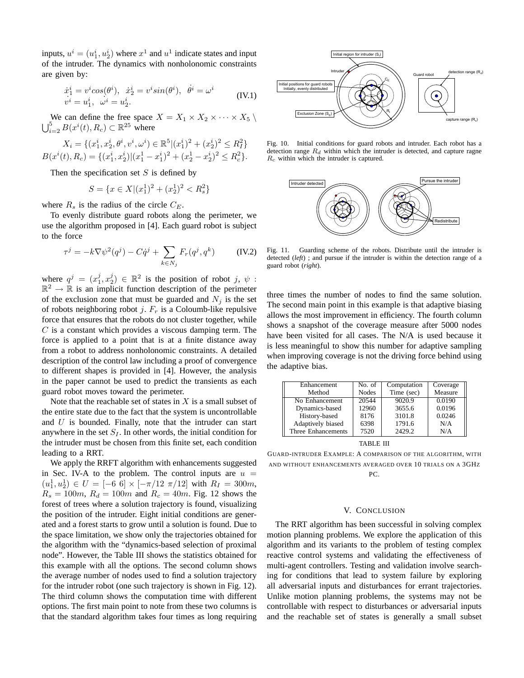inputs,  $u^i = (u_1^i, u_2^i)$  where  $x^1$  and  $u^1$  indicate states and input of the intruder. The dynamics with nonholonomic constraints are given by:

$$
\dot{x}_1^i = v^i \cos(\theta^i), \quad \dot{x}_2^i = v^i \sin(\theta^i), \quad \dot{\theta}^i = \omega^i
$$
\n
$$
v^i = u_1^i, \quad \omega^i = u_2^i.
$$
\n(IV.1)

We can define the free space  $X = X_1 \times X_2 \times \cdots \times X_5$  $\bigcup_{i=2}^{5} B(x^{i}(t), R_{c}) \subset \mathbb{R}^{25}$  where

$$
X_i = \{ (x_1^i, x_2^i, \theta^i, v^i, \omega^i) \in \mathbb{R}^5 | (x_1^i)^2 + (x_2^i)^2 \le R_I^2 \}
$$
  

$$
B(x^i(t), R_c) = \{ (x_1^i, x_2^i) | (x_1^1 - x_1^i)^2 + (x_2^1 - x_2^i)^2 \le R_c^2 \}.
$$

Then the specification set  $S$  is defined by

$$
S = \{ x \in X | (x_1^1)^2 + (x_2^1)^2 < R_s^2 \}
$$

where  $R_s$  is the radius of the circle  $C_E$ .

To evenly distribute guard robots along the perimeter, we use the algorithm proposed in [4]. Each guard robot is subject to the force

$$
\tau^j = -k \nabla \psi^2(q^j) - C \dot{q}^j + \sum_{k \in N_j} F_r(q^j, q^k) \qquad (IV.2)
$$

where  $q^{j} = (x_1^j, x_2^j) \in \mathbb{R}^2$  is the position of robot j,  $\psi$ :  $\mathbb{R}^2 \to \mathbb{R}$  is an implicit function description of the perimeter of the exclusion zone that must be guarded and  $N_i$  is the set of robots neighboring robot j.  $F_r$  is a Coloumb-like repulsive force that ensures that the robots do not cluster together, while  $C$  is a constant which provides a viscous damping term. The force is applied to a point that is at a finite distance away from a robot to address nonholonomic constraints. A detailed description of the control law including a proof of convergence to different shapes is provided in [4]. However, the analysis in the paper cannot be used to predict the transients as each guard robot moves toward the perimeter.

Note that the reachable set of states in  $X$  is a small subset of the entire state due to the fact that the system is uncontrollable and  $U$  is bounded. Finally, note that the intruder can start anywhere in the set  $S_I$ . In other words, the initial condition for the intruder must be chosen from this finite set, each condition leading to a RRT.

We apply the RRFT algorithm with enhancements suggested in Sec. IV-A to the problem. The control inputs are  $u =$  $(u_1^1, u_2^1) \in U = [-6 \ 6] \times [-\pi/12 \ \pi/12]$  with  $R_I = 300m$ ,  $R_s = 100m$ ,  $R_d = 100m$  and  $R_c = 40m$ . Fig. 12 shows the forest of trees where a solution trajectory is found, visualizing the position of the intruder. Eight initial conditions are generated and a forest starts to grow until a solution is found. Due to the space limitation, we show only the trajectories obtained for the algorithm with the "dynamics-based selection of proximal node". However, the Table III shows the statistics obtained for this example with all the options. The second column shows the average number of nodes used to find a solution trajectory for the intruder robot (one such trajectory is shown in Fig. 12). The third column shows the computation time with different options. The first main point to note from these two columns is that the standard algorithm takes four times as long requiring



Fig. 10. Initial conditions for guard robots and intruder. Each robot has a detection range  $R_d$  within which the intruder is detected, and capture ragne  $R_c$  within which the intruder is captured.



Fig. 11. Guarding scheme of the robots. Distribute until the intruder is detected (*left*) ; and pursue if the intruder is within the detection range of a guard robot (*right*).

three times the number of nodes to find the same solution. The second main point in this example is that adaptive biasing allows the most improvement in efficiency. The fourth column shows a snapshot of the coverage measure after 5000 nodes have been visited for all cases. The N/A is used because it is less meaningful to show this number for adaptive sampling when improving coverage is not the driving force behind using the adaptive bias.

| Enhancement        | No. of       | Computation | Coverage |
|--------------------|--------------|-------------|----------|
| Method             | <b>Nodes</b> | Time (sec)  | Measure  |
| No Enhancement     | 20544        | 9020.9      | 0.0190   |
| Dynamics-based     | 12960        | 3655.6      | 0.0196   |
| History-based      | 8176         | 3101.8      | 0.0246   |
| Adaptively biased  | 6398         | 1791.6      | N/A      |
| Three Enhancements | 7520         | 2429.2      | N/A      |

TABLE III

GUARD-INTRUDER EXAMPLE: A COMPARISON OF THE ALGORITHM, WITH AND WITHOUT ENHANCEMENTS AVERAGED OVER 10 TRIALS ON A 3GHZ PC.

#### V. CONCLUSION

The RRT algorithm has been successful in solving complex motion planning problems. We explore the application of this algorithm and its variants to the problem of testing complex reactive control systems and validating the effectiveness of multi-agent controllers. Testing and validation involve searching for conditions that lead to system failure by exploring all adversarial inputs and disturbances for errant trajectories. Unlike motion planning problems, the systems may not be controllable with respect to disturbances or adversarial inputs and the reachable set of states is generally a small subset